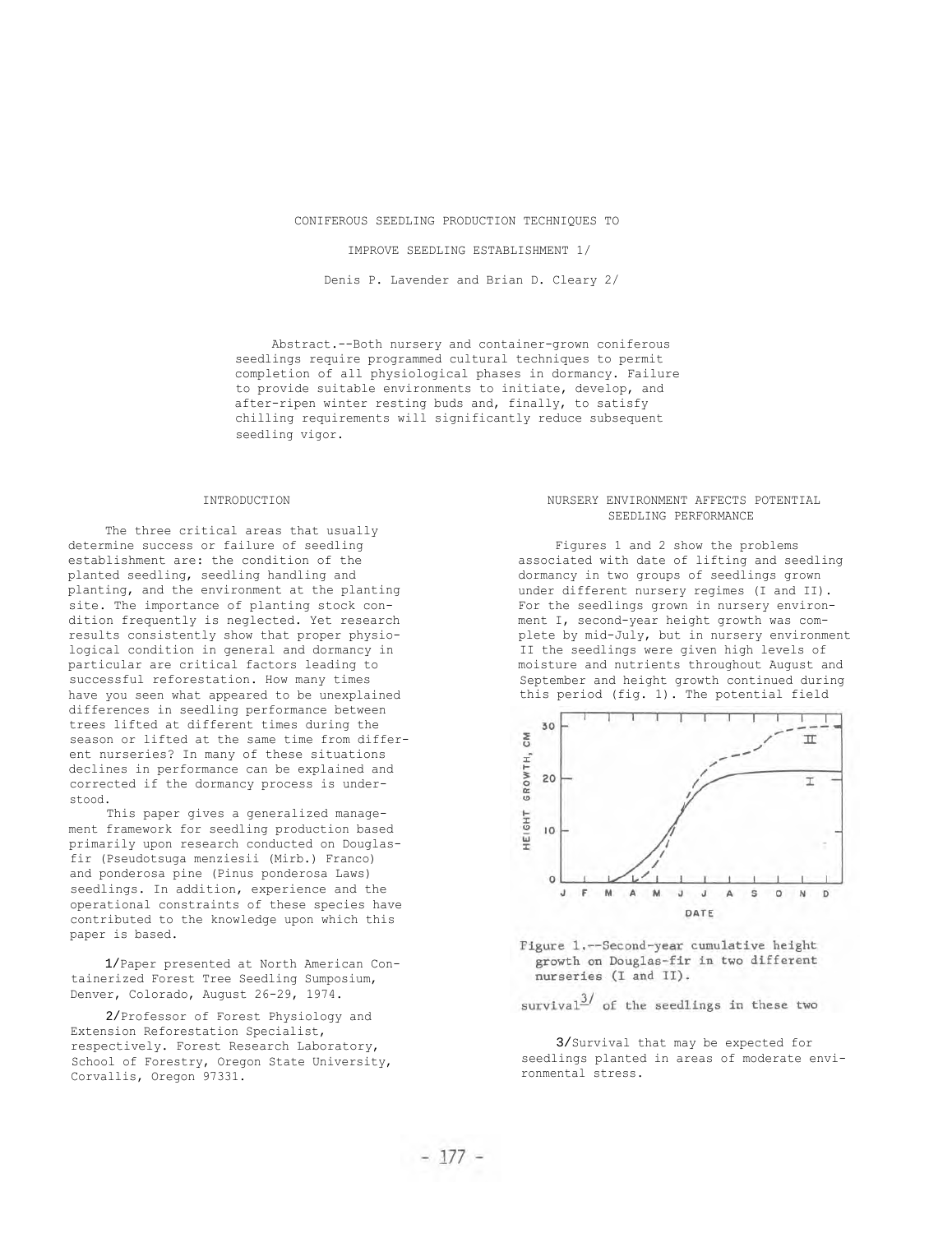## CONIFEROUS SEEDLING PRODUCTION TECHNIQUES TO

### IMPROVE SEEDLING ESTABLISHMENT 1/

Denis P. Lavender and Brian D. Cleary 2/

Abstract.--Both nursery and container-grown coniferous seedlings require programmed cultural techniques to permit completion of all physiological phases in dormancy. Failure to provide suitable environments to initiate, develop, and after-ripen winter resting buds and, finally, to satisfy chilling requirements will significantly reduce subsequent seedling vigor.

#### INTRODUCTION

The three critical areas that usually determine success or failure of seedling establishment are: the condition of the planted seedling, seedling handling and planting, and the environment at the planting site. The importance of planting stock condition frequently is neglected. Yet research results consistently show that proper physiological condition in general and dormancy in particular are critical factors leading to successful reforestation. How many times have you seen what appeared to be unexplained differences in seedling performance between trees lifted at different times during the season or lifted at the same time from different nurseries? In many of these situations declines in performance can be explained and corrected if the dormancy process is understood.

This paper gives a generalized management framework for seedling production based primarily upon research conducted on Douglasfir (Pseudotsuga menziesii (Mirb.) Franco) and ponderosa pine (Pinus ponderosa Laws) seedlings. In addition, experience and the operational constraints of these species have contributed to the knowledge upon which this paper is based.

 1/Paper presented at North American Containerized Forest Tree Seedling Sumposium, Denver, Colorado, August 26-29, 1974.

 2/Professor of Forest Physiology and Extension Reforestation Specialist, respectively. Forest Research Laboratory, School of Forestry, Oregon State University, Corvallis, Oregon 97331.

# NURSERY ENVIRONMENT AFFECTS POTENTIAL SEEDLING PERFORMANCE

Figures 1 and 2 show the problems associated with date of lifting and seedling dormancy in two groups of seedlings grown under different nursery regimes (I and II). For the seedlings grown in nursery environment I, second-year height growth was complete by mid-July, but in nursery environment II the seedlings were given high levels of moisture and nutrients throughout August and September and height growth continued during this period (fig. 1). The potential field



Figure 1.-Second-year cumulative height growth on Douglas-fir in two different nurseries (I and II).

 $survival<sup>3/</sup>$  of the seedlings in these two

 3/Survival that may be expected for seedlings planted in areas of moderate environmental stress.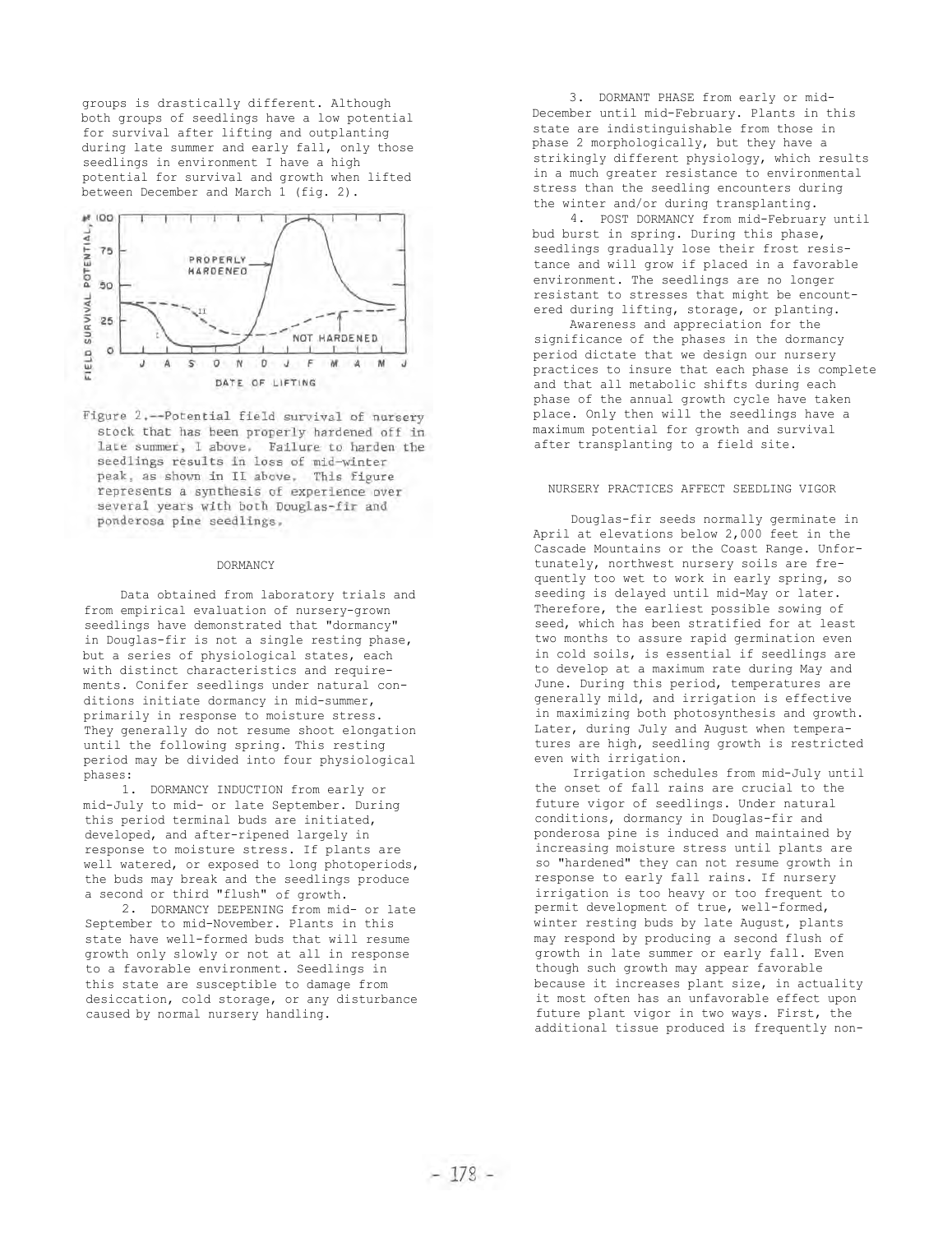groups is drastically different. Although both groups of seedlings have a low potential for survival after lifting and outplanting during late summer and early fall, only those seedlings in environment I have a high potential for survival and growth when lifted between December and March 1 (fig. 2).



Figure 2.--Potential field survival of nursery stock that has been properly hardened off in late summer, I above. Failure to harden the seedlings results in loss of mid-winter peak, as shown in II above, This figure represents a synthesis of experience over several years with both Douglas-fir and ponderosa pine seedlings,

#### DORMANCY

Data obtained from laboratory trials and from empirical evaluation of nursery-grown seedlings have demonstrated that "dormancy" in Douglas-fir is not a single resting phase, but a series of physiological states, each with distinct characteristics and requirements. Conifer seedlings under natural conditions initiate dormancy in mid-summer, primarily in response to moisture stress. They generally do not resume shoot elongation until the following spring. This resting period may be divided into four physiological phases:

1. DORMANCY INDUCTION from early or mid-July to mid- or late September. During this period terminal buds are initiated, developed, and after-ripened largely in response to moisture stress. If plants are well watered, or exposed to long photoperiods, the buds may break and the seedlings produce a second or third "flush" of growth.

2. DORMANCY DEEPENING from mid- or late September to mid-November. Plants in this state have well-formed buds that will resume growth only slowly or not at all in response to a favorable environment. Seedlings in this state are susceptible to damage from desiccation, cold storage, or any disturbance caused by normal nursery handling.

3. DORMANT PHASE from early or mid-December until mid-February. Plants in this state are indistinguishable from those in phase 2 morphologically, but they have a strikingly different physiology, which results in a much greater resistance to environmental stress than the seedling encounters during the winter and/or during transplanting.

4. POST DORMANCY from mid-February until bud burst in spring. During this phase, seedlings gradually lose their frost resistance and will grow if placed in a favorable environment. The seedlings are no longer resistant to stresses that might be encountered during lifting, storage, or planting.

Awareness and appreciation for the significance of the phases in the dormancy period dictate that we design our nursery practices to insure that each phase is complete and that all metabolic shifts during each phase of the annual growth cycle have taken place. Only then will the seedlings have a maximum potential for growth and survival after transplanting to a field site.

# NURSERY PRACTICES AFFECT SEEDLING VIGOR

Douglas-fir seeds normally germinate in April at elevations below 2,000 feet in the Cascade Mountains or the Coast Range. Unfortunately, northwest nursery soils are frequently too wet to work in early spring, so seeding is delayed until mid-May or later. Therefore, the earliest possible sowing of seed, which has been stratified for at least two months to assure rapid germination even in cold soils, is essential if seedlings are to develop at a maximum rate during May and June. During this period, temperatures are generally mild, and irrigation is effective in maximizing both photosynthesis and growth. Later, during July and August when temperatures are high, seedling growth is restricted even with irrigation.

Irrigation schedules from mid-July until the onset of fall rains are crucial to the future vigor of seedlings. Under natural conditions, dormancy in Douglas-fir and ponderosa pine is induced and maintained by increasing moisture stress until plants are so "hardened" they can not resume growth in response to early fall rains. If nursery irrigation is too heavy or too frequent to permit development of true, well-formed, winter resting buds by late August, plants may respond by producing a second flush of growth in late summer or early fall. Even though such growth may appear favorable because it increases plant size, in actuality it most often has an unfavorable effect upon future plant vigor in two ways. First, the additional tissue produced is frequently non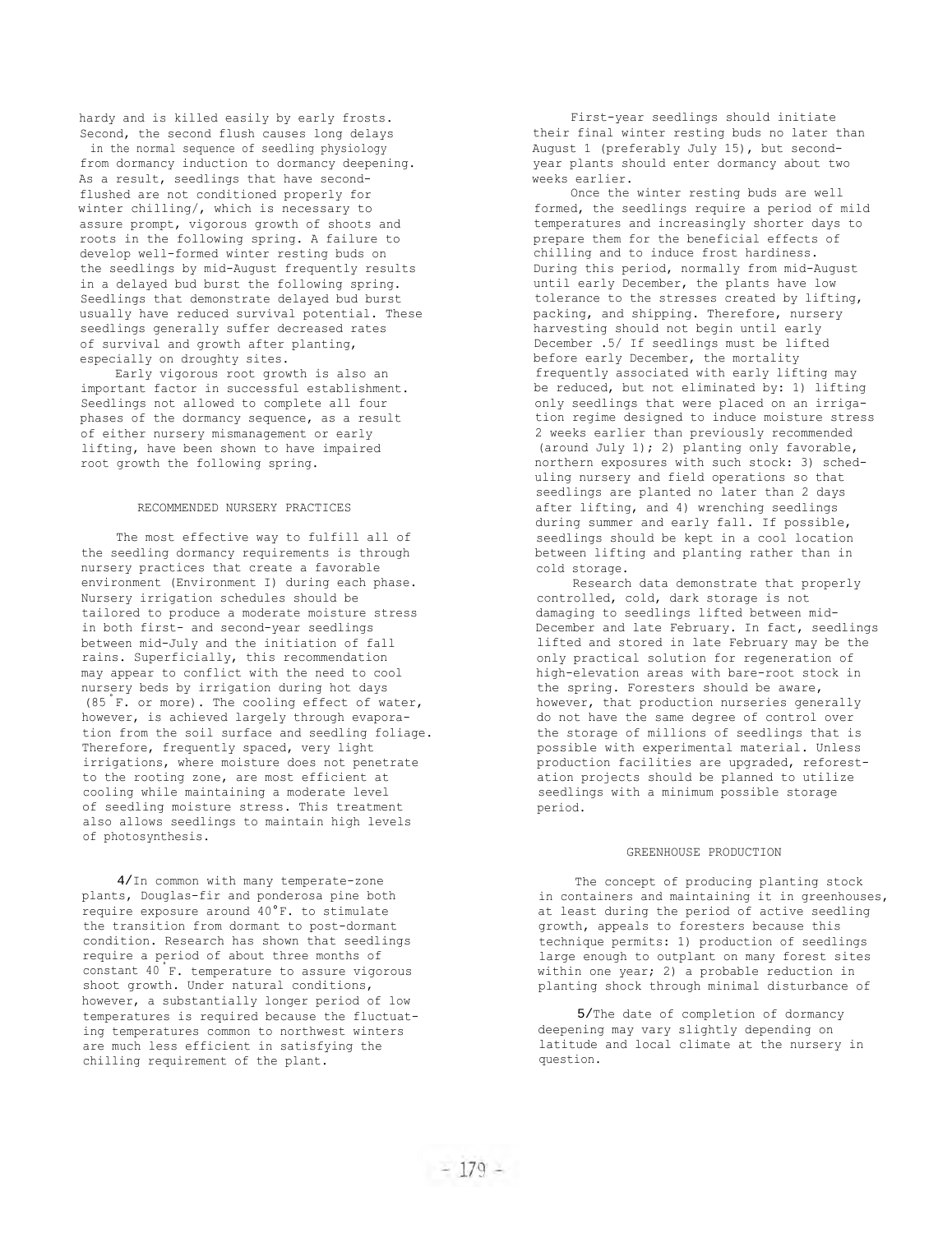hardy and is killed easily by early frosts. Second, the second flush causes long delays in the normal sequence of seedling physiology from dormancy induction to dormancy deepening. As a result, seedlings that have secondflushed are not conditioned properly for winter chilling/, which is necessary to assure prompt, vigorous growth of shoots and roots in the following spring. A failure to develop well-formed winter resting buds on the seedlings by mid-August frequently results in a delayed bud burst the following spring. Seedlings that demonstrate delayed bud burst usually have reduced survival potential. These seedlings generally suffer decreased rates of survival and growth after planting, especially on droughty sites.

Early vigorous root growth is also an important factor in successful establishment. Seedlings not allowed to complete all four phases of the dormancy sequence, as a result of either nursery mismanagement or early lifting, have been shown to have impaired root growth the following spring.

# RECOMMENDED NURSERY PRACTICES

The most effective way to fulfill all of the seedling dormancy requirements is through nursery practices that create a favorable environment (Environment I) during each phase. Nursery irrigation schedules should be tailored to produce a moderate moisture stress in both first- and second-year seedlings between mid-July and the initiation of fall rains. Superficially, this recommendation may appear to conflict with the need to cool nursery beds by irrigation during hot days  $(85 \text{ }^{\circ}\text{F.} \text{ or more})$ . The cooling effect of water, however, is achieved largely through evaporation from the soil surface and seedling foliage. Therefore, frequently spaced, very light irrigations, where moisture does not penetrate to the rooting zone, are most efficient at cooling while maintaining a moderate level of seedling moisture stress. This treatment also allows seedlings to maintain high levels of photosynthesis.

 4/In common with many temperate-zone plants, Douglas-fir and ponderosa pine both require exposure around 40°F. to stimulate the transition from dormant to post-dormant condition. Research has shown that seedlings require a period of about three months of constant 40 F. temperature to assure vigorous shoot growth. Under natural conditions, however, a substantially longer period of low temperatures is required because the fluctuating temperatures common to northwest winters are much less efficient in satisfying the chilling requirement of the plant.

First-year seedlings should initiate their final winter resting buds no later than August 1 (preferably July 15), but secondyear plants should enter dormancy about two weeks earlier.

Once the winter resting buds are well formed, the seedlings require a period of mild temperatures and increasingly shorter days to prepare them for the beneficial effects of chilling and to induce frost hardiness. During this period, normally from mid-August until early December, the plants have low tolerance to the stresses created by lifting, packing, and shipping. Therefore, nursery harvesting should not begin until early December .5/ If seedlings must be lifted before early December, the mortality frequently associated with early lifting may be reduced, but not eliminated by: 1) lifting only seedlings that were placed on an irrigation regime designed to induce moisture stress 2 weeks earlier than previously recommended (around July 1); 2) planting only favorable, northern exposures with such stock: 3) scheduling nursery and field operations so that seedlings are planted no later than 2 days after lifting, and 4) wrenching seedlings during summer and early fall. If possible, seedlings should be kept in a cool location between lifting and planting rather than in cold storage.

Research data demonstrate that properly controlled, cold, dark storage is not damaging to seedlings lifted between mid-December and late February. In fact, seedlings lifted and stored in late February may be the only practical solution for regeneration of high-elevation areas with bare-root stock in the spring. Foresters should be aware, however, that production nurseries generally do not have the same degree of control over the storage of millions of seedlings that is possible with experimental material. Unless production facilities are upgraded, reforestation projects should be planned to utilize seedlings with a minimum possible storage period.

### GREENHOUSE PRODUCTION

The concept of producing planting stock in containers and maintaining it in greenhouses, at least during the period of active seedling growth, appeals to foresters because this technique permits: 1) production of seedlings large enough to outplant on many forest sites within one year; 2) a probable reduction in planting shock through minimal disturbance of

 5/The date of completion of dormancy deepening may vary slightly depending on latitude and local climate at the nursery in question.